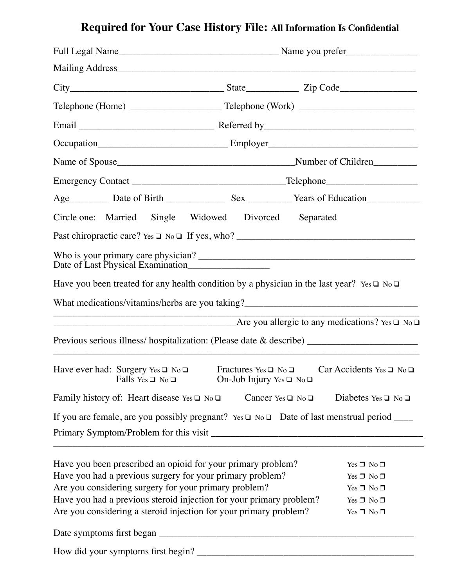## **Required for Your Case History File: All Information Is Confidential**

|                                                             |                            | Circle one: Married Single Widowed Divorced Separated                                                                                    |                                    |                      |                                                                                                       |  |  |  |  |
|-------------------------------------------------------------|----------------------------|------------------------------------------------------------------------------------------------------------------------------------------|------------------------------------|----------------------|-------------------------------------------------------------------------------------------------------|--|--|--|--|
|                                                             |                            |                                                                                                                                          |                                    |                      |                                                                                                       |  |  |  |  |
|                                                             |                            |                                                                                                                                          |                                    |                      |                                                                                                       |  |  |  |  |
|                                                             |                            |                                                                                                                                          |                                    |                      | Have you been treated for any health condition by a physician in the last year? Yes $\Box$ No $\Box$  |  |  |  |  |
|                                                             |                            |                                                                                                                                          |                                    |                      | What medications/vitamins/herbs are you taking?__________________________________                     |  |  |  |  |
|                                                             |                            |                                                                                                                                          |                                    |                      | $\overline{\phantom{a}}$ Are you allergic to any medications? Yes $\Box$ No $\Box$                    |  |  |  |  |
|                                                             |                            |                                                                                                                                          |                                    |                      | Previous serious illness/ hospitalization: (Please date & describe) _______________________________   |  |  |  |  |
|                                                             | Falls Yes $\Box$ No $\Box$ | Have ever had: Surgery Yes $\Box$ No $\Box$ Fractures Yes $\Box$ No $\Box$                                                               | On-Job Injury Yes $\Box$ No $\Box$ |                      | Car Accidents Yes $\square$ No $\square$                                                              |  |  |  |  |
| Family history of: Heart disease Yes $\square$ No $\square$ |                            |                                                                                                                                          | Cancer Yes $\Box$ No $\Box$        |                      | Diabetes Yes $\Box$ No $\Box$                                                                         |  |  |  |  |
|                                                             |                            |                                                                                                                                          |                                    |                      | If you are female, are you possibly pregnant? Yes $\Box$ No $\Box$ Date of last menstrual period ____ |  |  |  |  |
|                                                             |                            |                                                                                                                                          |                                    |                      |                                                                                                       |  |  |  |  |
|                                                             |                            | Have you been prescribed an opioid for your primary problem?                                                                             |                                    |                      | Yes $\Box$ No $\Box$                                                                                  |  |  |  |  |
|                                                             |                            | Have you had a previous surgery for your primary problem?                                                                                |                                    | Yes $\Box$ No $\Box$ |                                                                                                       |  |  |  |  |
|                                                             |                            | Are you considering surgery for your primary problem?                                                                                    |                                    | Yes $\Box$ No $\Box$ |                                                                                                       |  |  |  |  |
|                                                             |                            | Have you had a previous steroid injection for your primary problem?<br>Are you considering a steroid injection for your primary problem? |                                    |                      | Yes □ No □<br>Yes $\Box$ No $\Box$                                                                    |  |  |  |  |
|                                                             |                            |                                                                                                                                          |                                    |                      |                                                                                                       |  |  |  |  |
|                                                             |                            |                                                                                                                                          |                                    |                      |                                                                                                       |  |  |  |  |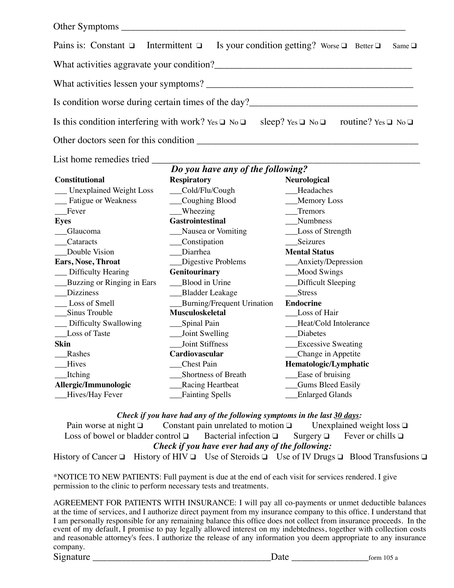| Pains is: Constant $\Box$ Intermittent $\Box$ Is your condition getting? Worse $\Box$ Better $\Box$ Same $\Box$ |                                                           |
|-----------------------------------------------------------------------------------------------------------------|-----------------------------------------------------------|
| What activities aggravate your condition?                                                                       |                                                           |
| What activities lessen your symptoms?                                                                           |                                                           |
| Is condition worse during certain times of the day?                                                             |                                                           |
| Is this condition interfering with work? Yes $\Box$ No $\Box$                                                   | sleep? Yes $\Box$ No $\Box$ routine? Yes $\Box$ No $\Box$ |
|                                                                                                                 |                                                           |

| List home remedies tried       |                                   |                           |
|--------------------------------|-----------------------------------|---------------------------|
|                                | Do you have any of the following? |                           |
| <b>Constitutional</b>          | <b>Respiratory</b>                | <b>Neurological</b>       |
| <b>Unexplained Weight Loss</b> | Cold/Flu/Cough                    | Headaches                 |
| Fatigue or Weakness            | Coughing Blood                    | Memory Loss               |
| Fever                          | <b>Wheezing</b>                   | Tremors                   |
| <b>Eyes</b>                    | <b>Gastrointestinal</b>           | Numbness                  |
| Glaucoma                       | Nausea or Vomiting                | Loss of Strength          |
| Cataracts                      | Constipation                      | Seizures                  |
| Double Vision                  | Diarrhea                          | <b>Mental Status</b>      |
| Ears, Nose, Throat             | Digestive Problems                | Anxiety/Depression        |
| Difficulty Hearing             | Genitourinary                     | <b>Mood Swings</b>        |
| Buzzing or Ringing in Ears     | Blood in Urine                    | Difficult Sleeping        |
| <b>Dizziness</b>               | <b>Bladder Leakage</b>            | <b>Stress</b>             |
| Loss of Smell                  | <b>Burning/Frequent Urination</b> | <b>Endocrine</b>          |
| Sinus Trouble                  | <b>Musculoskeletal</b>            | Loss of Hair              |
| Difficulty Swallowing          | Spinal Pain                       | Heat/Cold Intolerance     |
| Loss of Taste                  | Joint Swelling                    | Diabetes                  |
| <b>Skin</b>                    | <b>Joint Stiffness</b>            | <b>Excessive Sweating</b> |
| Rashes                         | Cardiovascular                    | Change in Appetite        |
| Hives                          | Chest Pain                        | Hematologic/Lymphatic     |
| Itching                        | Shortness of Breath               | Ease of bruising          |
| Allergic/Immunologic           | <b>Racing Heartbeat</b>           | <b>Gums Bleed Easily</b>  |
| Hives/Hay Fever                | <b>Fainting Spells</b>            | <b>Enlarged Glands</b>    |
|                                |                                   |                           |

*Check if you have had any of the following symptoms in the last 30 days:* Pain worse at night  $\Box$  Constant pain unrelated to motion  $\Box$  Unexplained weight loss  $\Box$ <br>Loss of bowel or bladder control  $\Box$  Bacterial infection  $\Box$  Surgery  $\Box$  Fever or chills  $\Box$ Loss of bowel or bladder control  $\Box$  Bacterial infection  $\Box$  Surgery  $\Box$ *Check if you have ever had any of the following:*

History of Cancer ❑ History of HIV ❑ Use of Steroids ❑ Use of IV Drugs ❑ Blood Transfusions ❑

\*NOTICE TO NEW PATIENTS: Full payment is due at the end of each visit for services rendered. I give permission to the clinic to perform necessary tests and treatments.

AGREEMENT FOR PATIENTS WITH INSURANCE: I will pay all co-payments or unmet deductible balances at the time of services, and I authorize direct payment from my insurance company to this office. I understand that I am personally responsible for any remaining balance this office does not collect from insurance proceeds. In the event of my default, I promise to pay legally allowed interest on my indebtedness, together with collection costs and reasonable attorney's fees. I authorize the release of any information you deem appropriate to any insurance company. Signature  $\frac{105 \text{ m}}{2}$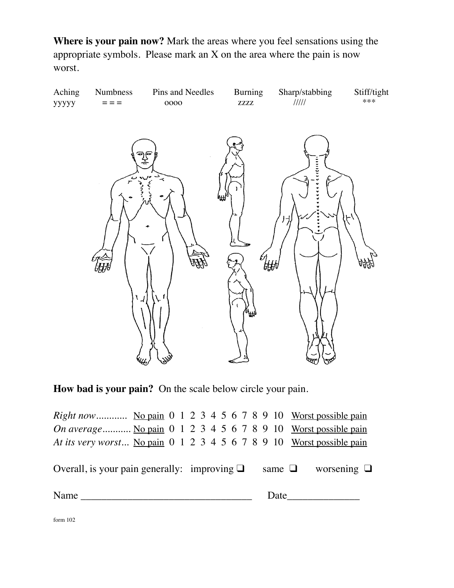**Where is your pain now?** Mark the areas where you feel sensations using the appropriate symbols. Please mark an X on the area where the pain is now worst.



**How bad is your pain?** On the scale below circle your pain.

| <i>Right now</i> No pain $0 \t1 \t2 \t3 \t4 \t5 \t6 \t7 \t8 \t9 \t10$ Worst possible pain |  |  |  |  |  |  |  |  |  |  |                                                                                                                                                                                                                               |
|-------------------------------------------------------------------------------------------|--|--|--|--|--|--|--|--|--|--|-------------------------------------------------------------------------------------------------------------------------------------------------------------------------------------------------------------------------------|
| On average No pain 0 1 2 3 4 5 6 7 8 9 10 Worst possible pain                             |  |  |  |  |  |  |  |  |  |  |                                                                                                                                                                                                                               |
| At its very worst No pain 0 1 2 3 4 5 6 7 8 9 10 Worst possible pain                      |  |  |  |  |  |  |  |  |  |  |                                                                                                                                                                                                                               |
| Overall, is your pain generally: improving $\Box$ same $\Box$ worsening $\Box$            |  |  |  |  |  |  |  |  |  |  |                                                                                                                                                                                                                               |
| Name                                                                                      |  |  |  |  |  |  |  |  |  |  | Date and the same of the same of the same of the same of the same of the same of the same of the same of the same of the same of the same of the same of the same of the same of the same of the same of the same of the same |
| form $102$                                                                                |  |  |  |  |  |  |  |  |  |  |                                                                                                                                                                                                                               |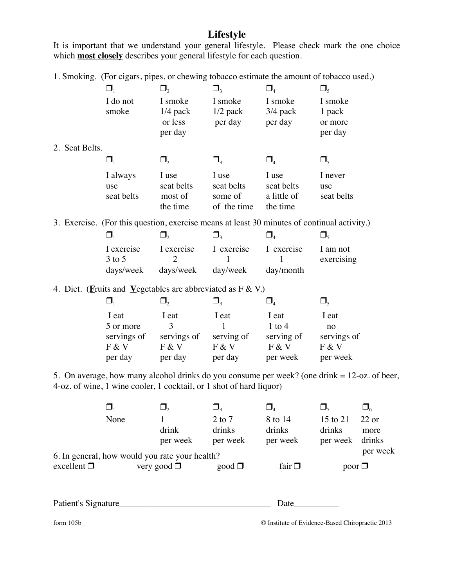## **Lifestyle**

It is important that we understand your general lifestyle. Please check mark the one choice which **most closely** describes your general lifestyle for each question.

1. Smoking. (For cigars, pipes, or chewing tobacco estimate the amount of tobacco used.)

|                | $\Box_1$                                                                | $\Box$ ,       | $\Box_3$    | $\Box_{\scriptscriptstyle{4}}$ | $\Box_{\varsigma}$                                                                           |
|----------------|-------------------------------------------------------------------------|----------------|-------------|--------------------------------|----------------------------------------------------------------------------------------------|
|                | I do not                                                                | I smoke        | I smoke     | I smoke                        | I smoke                                                                                      |
|                | smoke                                                                   | $1/4$ pack     | $1/2$ pack  | $3/4$ pack                     | 1 pack                                                                                       |
|                |                                                                         | or less        | per day     | per day                        | or more                                                                                      |
|                |                                                                         | per day        |             |                                | per day                                                                                      |
| 2. Seat Belts. |                                                                         |                |             |                                |                                                                                              |
|                | $\Box_1$                                                                | $\Box_2$       | $\Box_3$    | $\Box_{4}$                     | $\Box_5$                                                                                     |
|                | I always                                                                | I use          | I use       | I use                          | I never                                                                                      |
|                | use                                                                     | seat belts     | seat belts  | seat belts                     | use                                                                                          |
|                | seat belts                                                              | most of        | some of     | a little of                    | seat belts                                                                                   |
|                |                                                                         | the time       | of the time | the time                       |                                                                                              |
|                |                                                                         |                |             |                                | 3. Exercise. (For this question, exercise means at least 30 minutes of continual activity.)  |
|                | $\Box_1$                                                                | $\Box$ ,       | $\Box$      | $\Box_{\scriptscriptstyle{4}}$ | $\Box_{\varsigma}$                                                                           |
|                | I exercise                                                              | I exercise     | I exercise  | I exercise                     | I am not                                                                                     |
|                | $3$ to $5$                                                              | $\overline{2}$ |             |                                | exercising                                                                                   |
|                | days/week                                                               | days/week      | day/week    | day/month                      |                                                                                              |
|                | 4. Diet. ( <b>Fruits and Vegetables are abbreviated as F &amp; V.</b> ) |                |             |                                |                                                                                              |
|                | $\Box_1$                                                                | $\Box$         | $\Box$      | $\Box_{4}$                     | $\Box_5$                                                                                     |
|                | I eat                                                                   | I eat          | I eat       | I eat                          | I eat                                                                                        |
|                | 5 or more                                                               | 3              | 1           | $1$ to $4$                     | no                                                                                           |
|                | servings of                                                             | servings of    | serving of  | serving of                     | servings of                                                                                  |
|                | F & V                                                                   | F & V          | F & V       | F & V                          | F & V                                                                                        |
|                | per day                                                                 | per day        | per day     | per week                       | per week                                                                                     |
|                | 4-oz. of wine, 1 wine cooler, 1 cocktail, or 1 shot of hard liquor)     |                |             |                                | 5. On average, how many alcohol drinks do you consume per week? (one drink = 12-oz. of beer, |
|                |                                                                         |                |             |                                |                                                                                              |
|                |                                                                         |                |             |                                |                                                                                              |

|                                                            | None |                  | 2 to 7      | 8 to 14     | 15 to 21        | $22$ or |  |  |  |
|------------------------------------------------------------|------|------------------|-------------|-------------|-----------------|---------|--|--|--|
|                                                            |      | drink            | drinks      | drinks      | drinks          | more    |  |  |  |
|                                                            |      | per week         | per week    | per week    | per week drinks |         |  |  |  |
| per week<br>6. In general, how would you rate your health? |      |                  |             |             |                 |         |  |  |  |
| excellent $\Box$                                           |      | very good $\Box$ | $good \Box$ | fair $\Box$ | poor $\Box$     |         |  |  |  |
|                                                            |      |                  |             |             |                 |         |  |  |  |

Patient's Signature\_\_\_\_\_\_\_\_\_\_\_\_\_\_\_\_\_\_\_\_\_\_\_\_\_\_\_\_\_\_\_\_\_\_ Date\_\_\_\_\_\_\_\_\_\_

form 105b **C** Institute of Evidence-Based Chiropractic 2013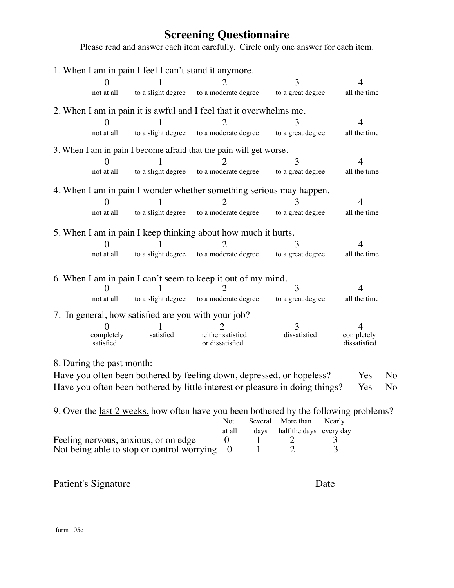## **Screening Questionnaire**

Please read and answer each item carefully. Circle only one **answer** for each item.

|                           | 1. When I am in pain I feel I can't stand it anymore.                                         |                                      |                |                         |                |                            |    |
|---------------------------|-----------------------------------------------------------------------------------------------|--------------------------------------|----------------|-------------------------|----------------|----------------------------|----|
|                           |                                                                                               |                                      |                | 3                       |                |                            |    |
| not at all                | to a slight degree                                                                            | to a moderate degree                 |                | to a great degree       |                | all the time               |    |
|                           | 2. When I am in pain it is awful and I feel that it overwhelms me.                            |                                      |                |                         |                |                            |    |
|                           |                                                                                               |                                      |                |                         |                | 4                          |    |
| not at all                | to a slight degree                                                                            | to a moderate degree                 |                | to a great degree       |                | all the time               |    |
|                           | 3. When I am in pain I become afraid that the pain will get worse.                            |                                      |                |                         |                |                            |    |
|                           |                                                                                               |                                      |                | 3                       |                | 4                          |    |
| not at all                | to a slight degree to a moderate degree                                                       |                                      |                | to a great degree       |                | all the time               |    |
|                           | 4. When I am in pain I wonder whether something serious may happen.                           |                                      |                |                         |                |                            |    |
|                           |                                                                                               |                                      |                |                         |                | 4                          |    |
| not at all                | to a slight degree to a moderate degree                                                       |                                      |                | to a great degree       |                | all the time               |    |
|                           | 5. When I am in pain I keep thinking about how much it hurts.                                 |                                      |                |                         |                |                            |    |
|                           |                                                                                               |                                      |                | 3                       |                | Δ                          |    |
| not at all                | to a slight degree                                                                            | to a moderate degree                 |                | to a great degree       |                | all the time               |    |
|                           |                                                                                               |                                      |                |                         |                |                            |    |
|                           | 6. When I am in pain I can't seem to keep it out of my mind.                                  |                                      |                | 3                       |                | 4                          |    |
| not at all                | to a slight degree                                                                            | to a moderate degree                 |                | to a great degree       |                | all the time               |    |
|                           | 7. In general, how satisfied are you with your job?                                           |                                      |                |                         |                |                            |    |
|                           |                                                                                               |                                      |                | 3                       |                |                            |    |
| completely<br>satisfied   | satisfied                                                                                     | neither satisfied<br>or dissatisfied |                | dissatisfied            |                | completely<br>dissatisfied |    |
| 8. During the past month: |                                                                                               |                                      |                |                         |                |                            |    |
|                           | Have you often been bothered by feeling down, depressed, or hopeless?                         |                                      |                |                         |                | <b>Yes</b>                 | No |
|                           | Have you often been bothered by little interest or pleasure in doing things?                  |                                      |                |                         |                | Yes                        | No |
|                           |                                                                                               |                                      |                |                         |                |                            |    |
|                           | 9. Over the <u>last 2 weeks</u> , how often have you been bothered by the following problems? | Not                                  | Several        | More than               | Nearly         |                            |    |
|                           |                                                                                               |                                      | at all<br>days | half the days every day |                |                            |    |
|                           | Feeling nervous, anxious, or on edge                                                          | $\boldsymbol{0}$                     | 1              |                         | $\mathfrak{Z}$ |                            |    |
|                           | Not being able to stop or control worrying                                                    | $\boldsymbol{0}$                     | 1              | $\frac{2}{2}$           | 3              |                            |    |
|                           |                                                                                               |                                      |                |                         |                |                            |    |
| Patient's Signature       |                                                                                               |                                      |                |                         | Date           |                            |    |

form 105c